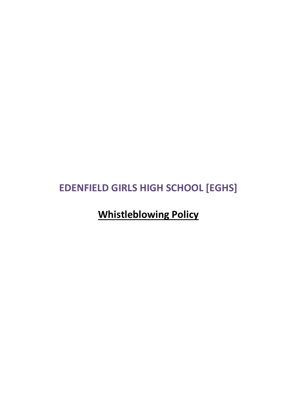# **EDENFIELD GIRLS HIGH SCHOOL [EGHS]**

**Whistleblowing Policy**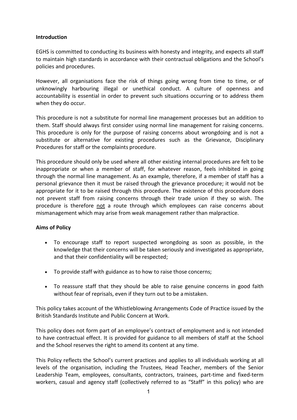## **Introduction**

EGHS is committed to conducting its business with honesty and integrity, and expects all staff to maintain high standards in accordance with their contractual obligations and the School's policies and procedures.

However, all organisations face the risk of things going wrong from time to time, or of unknowingly harbouring illegal or unethical conduct. A culture of openness and accountability is essential in order to prevent such situations occurring or to address them when they do occur.

This procedure is not a substitute for normal line management processes but an addition to them. Staff should always first consider using normal line management for raising concerns. This procedure is only for the purpose of raising concerns about wrongdoing and is not a substitute or alternative for existing procedures such as the Grievance, Disciplinary Procedures for staff or the complaints procedure.

This procedure should only be used where all other existing internal procedures are felt to be inappropriate or when a member of staff, for whatever reason, feels inhibited in going through the normal line management. As an example, therefore, if a member of staff has a personal grievance then it must be raised through the grievance procedure; it would not be appropriate for it to be raised through this procedure. The existence of this procedure does not prevent staff from raising concerns through their trade union if they so wish. The procedure is therefore not a route through which employees can raise concerns about mismanagement which may arise from weak management rather than malpractice.

# **Aims of Policy**

- To encourage staff to report suspected wrongdoing as soon as possible, in the knowledge that their concerns will be taken seriously and investigated as appropriate, and that their confidentiality will be respected;
- To provide staff with guidance as to how to raise those concerns;
- To reassure staff that they should be able to raise genuine concerns in good faith without fear of reprisals, even if they turn out to be amistaken.

This policy takes account of the Whistleblowing Arrangements Code of Practice issued by the British Standards Institute and Public Concern at Work.

This policy does not form part of an employee's contract of employment and is not intended to have contractual effect. It is provided for guidance to all members of staff at the School and the School reserves the right to amend its content at any time.

This Policy reflects the School's current practices and applies to all individuals working at all levels of the organisation, including the Trustees, Head Teacher, members of the Senior Leadership Team, employees, consultants, contractors, trainees, part-time and fixed-term workers, casual and agency staff (collectively referred to as "Staff" in this policy) who are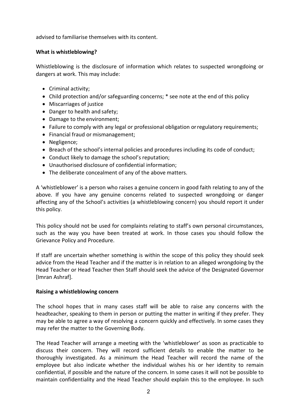advised to familiarise themselves with its content.

## **What is whistleblowing?**

Whistleblowing is the disclosure of information which relates to suspected wrongdoing or dangers at work. This may include:

- Criminal activity;
- Child protection and/or safeguarding concerns; \* see note at the end of this policy
- Miscarriages of justice
- Danger to health and safety;
- Damage to the environment;
- Failure to comply with any legal or professional obligation orregulatory requirements;
- Financial fraud or mismanagement;
- Negligence;
- Breach of the school's internal policies and procedures including its code of conduct;
- Conduct likely to damage the school's reputation;
- Unauthorised disclosure of confidential information;
- The deliberate concealment of any of the above matters.

A 'whistleblower' is a person who raises a genuine concern in good faith relating to any of the above. If you have any genuine concerns related to suspected wrongdoing or danger affecting any of the School's activities (a whistleblowing concern) you should report it under this policy.

This policy should not be used for complaints relating to staff's own personal circumstances, such as the way you have been treated at work. In those cases you should follow the Grievance Policy and Procedure.

If staff are uncertain whether something is within the scope of this policy they should seek advice from the Head Teacher and if the matter is in relation to an alleged wrongdoing by the Head Teacher or Head Teacher then Staff should seek the advice of the Designated Governor [Imran Ashraf].

#### **Raising a whistleblowing concern**

The school hopes that in many cases staff will be able to raise any concerns with the headteacher, speaking to them in person or putting the matter in writing if they prefer. They may be able to agree a way of resolving a concern quickly and effectively. In some cases they may refer the matter to the Governing Body.

The Head Teacher will arrange a meeting with the 'whistleblower' as soon as practicable to discuss their concern. They will record sufficient details to enable the matter to be thoroughly investigated. As a minimum the Head Teacher will record the name of the employee but also indicate whether the individual wishes his or her identity to remain confidential, if possible and the nature of the concern. In some cases it will not be possible to maintain confidentiality and the Head Teacher should explain this to the employee. In such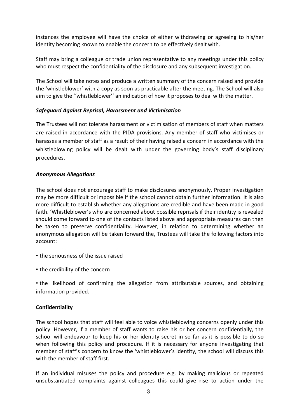instances the employee will have the choice of either withdrawing or agreeing to his/her identity becoming known to enable the concern to be effectively dealt with.

Staff may bring a colleague or trade union representative to any meetings under this policy who must respect the confidentiality of the disclosure and any subsequent investigation.

The School will take notes and produce a written summary of the concern raised and provide the 'whistleblower' with a copy as soon as practicable after the meeting. The School will also aim to give the ''whistleblower'' an indication of how it proposes to deal with the matter.

## *Safeguard Against Reprisal, Harassment and Victimisation*

The Trustees will not tolerate harassment or victimisation of members of staff when matters are raised in accordance with the PIDA provisions. Any member of staff who victimises or harasses a member of staff as a result of their having raised a concern in accordance with the whistleblowing policy will be dealt with under the governing body's staff disciplinary procedures.

#### *Anonymous Allegations*

The school does not encourage staff to make disclosures anonymously. Proper investigation may be more difficult or impossible if the school cannot obtain further information. It is also more difficult to establish whether any allegations are credible and have been made in good faith. 'Whistleblower's who are concerned about possible reprisals if their identity is revealed should come forward to one of the contacts listed above and appropriate measures can then be taken to preserve confidentiality. However, in relation to determining whether an anonymous allegation will be taken forward the, Trustees will take the following factors into account:

- the seriousness of the issue raised
- the credibility of the concern

• the likelihood of confirming the allegation from attributable sources, and obtaining information provided.

# **Confidentiality**

The school hopes that staff will feel able to voice whistleblowing concerns openly under this policy. However, if a member of staff wants to raise his or her concern confidentially, the school will endeavour to keep his or her identity secret in so far as it is possible to do so when following this policy and procedure. If it is necessary for anyone investigating that member of staff's concern to know the 'whistleblower's identity, the school will discuss this with the member of staff first.

If an individual misuses the policy and procedure e.g. by making malicious or repeated unsubstantiated complaints against colleagues this could give rise to action under the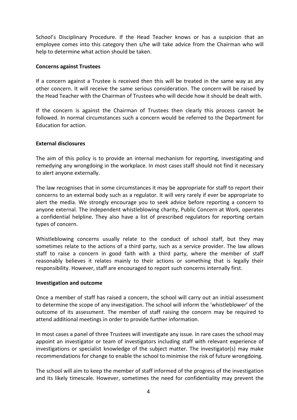School's Disciplinary Procedure. If the Head Teacher knows or has a suspicion that an employee comes into this category then s/he will take advice from the Chairman who will help to determine what action should be taken.

#### **Concerns against Trustees**

If a concern against a Trustee is received then this will be treated in the same way as any other concern. It will receive the same serious consideration. The concern will be raised by the Head Teacher with the Chairman of Trustees who will decide how it should be dealt with.

If the concern is against the Chairman of Trustees then clearly this process cannot be followed. In normal circumstances such a concern would be referred to the Department for Education for action.

## **External disclosures**

The aim of this policy is to provide an internal mechanism for reporting, investigating and remedying any wrongdoing in the workplace. In most cases staff should not find it necessary to alert anyone externally.

The law recognises that in some circumstances it may be appropriate for staff to report their concerns to an external body such as a regulator. It will very rarely if ever be appropriate to alert the media. We strongly encourage you to seek advice before reporting a concern to anyone external. The independent whistleblowing charity, Public Concern at Work, operates a confidential helpline. They also have a list of prescribed regulators for reporting certain types of concern.

Whistleblowing concerns usually relate to the conduct of school staff, but they may sometimes relate to the actions of a third party, such as a service provider. The law allows staff to raise a concern in good faith with a third party, where the member of staff reasonably believes it relates mainly to their actions or something that is legally their responsibility. However, staff are encouraged to report such concerns internally first.

#### **Investigation and outcome**

Once a member of staff has raised a concern, the school will carry out an initial assessment to determine the scope of any investigation. The school will inform the 'whistleblower' of the outcome of its assessment. The member of staff raising the concern may be required to attend additional meetings in order to provide further information.

In most cases a panel of three Trustees will investigate any issue. In rare cases the school may appoint an investigator or team of investigators including staff with relevant experience of investigations or specialist knowledge of the subject matter. The investigator(s) may make recommendations for change to enable the school to minimise the risk of future wrongdoing.

The school will aim to keep the member of staff informed of the progress of the investigation and its likely timescale. However, sometimes the need for confidentiality may prevent the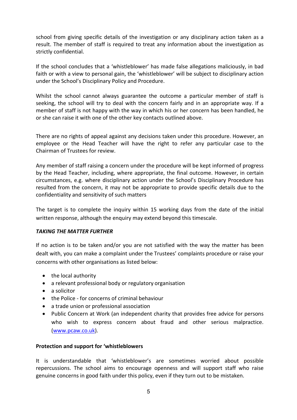school from giving specific details of the investigation or any disciplinary action taken as a result. The member of staff is required to treat any information about the investigation as strictly confidential.

If the school concludes that a 'whistleblower' has made false allegations maliciously, in bad faith or with a view to personal gain, the 'whistleblower' will be subject to disciplinary action under the School's Disciplinary Policy and Procedure.

Whilst the school cannot always guarantee the outcome a particular member of staff is seeking, the school will try to deal with the concern fairly and in an appropriate way. If a member of staff is not happy with the way in which his or her concern has been handled, he or she can raise it with one of the other key contacts outlined above.

There are no rights of appeal against any decisions taken under this procedure. However, an employee or the Head Teacher will have the right to refer any particular case to the Chairman of Trustees for review.

Any member of staff raising a concern under the procedure will be kept informed of progress by the Head Teacher, including, where appropriate, the final outcome. However, in certain circumstances, e.g. where disciplinary action under the School's Disciplinary Procedure has resulted from the concern, it may not be appropriate to provide specific details due to the confidentiality and sensitivity of such matters

The target is to complete the inquiry within 15 working days from the date of the initial written response, although the enquiry may extend beyond this timescale.

# *TAKING THE MATTER FURTHER*

If no action is to be taken and/or you are not satisfied with the way the matter has been dealt with, you can make a complaint under the Trustees' complaints procedure or raise your concerns with other organisations as listed below:

- the local authority
- a relevant professional body or regulatory organisation
- a solicitor
- the Police for concerns of criminal behaviour
- a trade union or professional association
- Public Concern at Work (an independent charity that provides free advice for persons who wish to express concern about fraud and other serious malpractice. [\(www.pcaw.co.uk\)](http://www.pcaw.co.uk/).

#### **Protection and support for 'whistleblowers**

It is understandable that 'whistleblower's are sometimes worried about possible repercussions. The school aims to encourage openness and will support staff who raise genuine concerns in good faith under this policy, even if they turn out to be mistaken.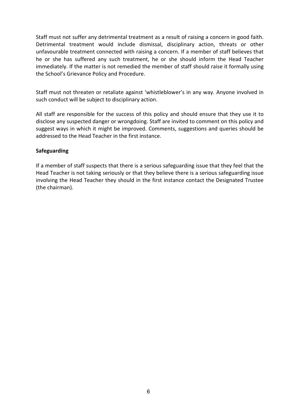Staff must not suffer any detrimental treatment as a result of raising a concern in good faith. Detrimental treatment would include dismissal, disciplinary action, threats or other unfavourable treatment connected with raising a concern. If a member of staff believes that he or she has suffered any such treatment, he or she should inform the Head Teacher immediately. If the matter is not remedied the member of staff should raise it formally using the School's Grievance Policy and Procedure.

Staff must not threaten or retaliate against 'whistleblower's in any way. Anyone involved in such conduct will be subject to disciplinary action.

All staff are responsible for the success of this policy and should ensure that they use it to disclose any suspected danger or wrongdoing. Staff are invited to comment on this policy and suggest ways in which it might be improved. Comments, suggestions and queries should be addressed to the Head Teacher in the first instance.

#### **Safeguarding**

If a member of staff suspects that there is a serious safeguarding issue that they feel that the Head Teacher is not taking seriously or that they believe there is a serious safeguarding issue involving the Head Teacher they should in the first instance contact the Designated Trustee (the chairman).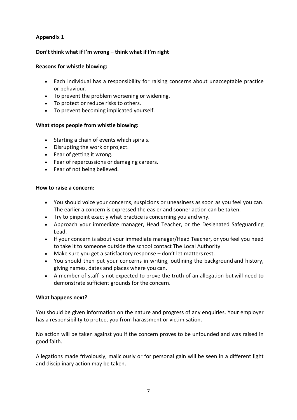# **Appendix 1**

# **Don't think what if I'm wrong – think what if I'm right**

## **Reasons for whistle blowing:**

- Each individual has a responsibility for raising concerns about unacceptable practice or behaviour.
- To prevent the problem worsening or widening.
- To protect or reduce risks to others.
- To prevent becoming implicated yourself.

# **What stops people from whistle blowing:**

- Starting a chain of events which spirals.
- Disrupting the work or project.
- Fear of getting it wrong.
- Fear of repercussions or damaging careers.
- Fear of not being believed.

## **How to raise a concern:**

- You should voice your concerns, suspicions or uneasiness as soon as you feel you can. The earlier a concern is expressed the easier and sooner action can be taken.
- Try to pinpoint exactly what practice is concerning you and why.
- Approach your immediate manager, Head Teacher, or the Designated Safeguarding Lead.
- If your concern is about your immediate manager/Head Teacher, or you feel you need to take it to someone outside the school contact The Local Authority
- Make sure you get a satisfactory response don't let matters rest.
- You should then put your concerns in writing, outlining the background and history, giving names, dates and places where you can.
- A member of staff is not expected to prove the truth of an allegation butwill need to demonstrate sufficient grounds for the concern.

# **What happens next?**

You should be given information on the nature and progress of any enquiries. Your employer has a responsibility to protect you from harassment or victimisation.

No action will be taken against you if the concern proves to be unfounded and was raised in good faith.

Allegations made frivolously, maliciously or for personal gain will be seen in a different light and disciplinary action may be taken.